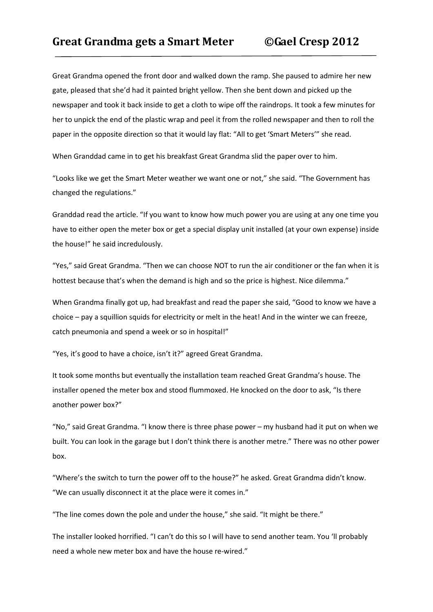Great Grandma opened the front door and walked down the ramp. She paused to admire her new gate, pleased that she'd had it painted bright yellow. Then she bent down and picked up the newspaper and took it back inside to get a cloth to wipe off the raindrops. It took a few minutes for her to unpick the end of the plastic wrap and peel it from the rolled newspaper and then to roll the paper in the opposite direction so that it would lay flat: "All to get 'Smart Meters'" she read.

When Granddad came in to get his breakfast Great Grandma slid the paper over to him.

"Looks like we get the Smart Meter weather we want one or not," she said. "The Government has changed the regulations."

Granddad read the article. "If you want to know how much power you are using at any one time you have to either open the meter box or get a special display unit installed (at your own expense) inside the house!" he said incredulously.

"Yes," said Great Grandma. "Then we can choose NOT to run the air conditioner or the fan when it is hottest because that's when the demand is high and so the price is highest. Nice dilemma."

When Grandma finally got up, had breakfast and read the paper she said, "Good to know we have a choice – pay a squillion squids for electricity or melt in the heat! And in the winter we can freeze, catch pneumonia and spend a week or so in hospital!"

"Yes, it's good to have a choice, isn't it?" agreed Great Grandma.

It took some months but eventually the installation team reached Great Grandma's house. The installer opened the meter box and stood flummoxed. He knocked on the door to ask, "Is there another power box?"

"No," said Great Grandma. "I know there is three phase power – my husband had it put on when we built. You can look in the garage but I don't think there is another metre." There was no other power box.

"Where's the switch to turn the power off to the house?" he asked. Great Grandma didn't know. "We can usually disconnect it at the place were it comes in."

"The line comes down the pole and under the house," she said. "It might be there."

The installer looked horrified. "I can't do this so I will have to send another team. You 'll probably need a whole new meter box and have the house re-wired."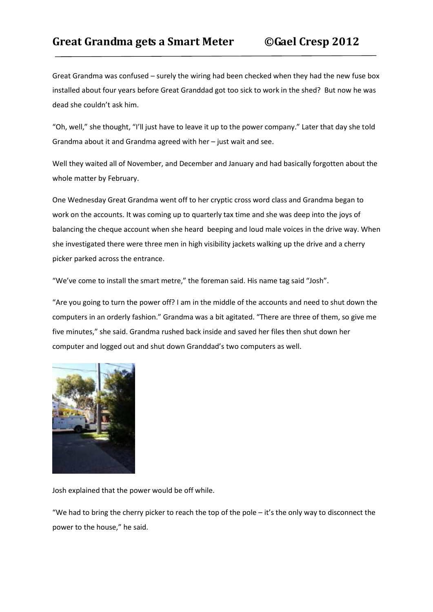## **Great Grandma gets a Smart Meter ©Gael Cresp 2012**

Great Grandma was confused – surely the wiring had been checked when they had the new fuse box installed about four years before Great Granddad got too sick to work in the shed? But now he was dead she couldn't ask him.

"Oh, well," she thought, "I'll just have to leave it up to the power company." Later that day she told Grandma about it and Grandma agreed with her – just wait and see.

Well they waited all of November, and December and January and had basically forgotten about the whole matter by February.

One Wednesday Great Grandma went off to her cryptic cross word class and Grandma began to work on the accounts. It was coming up to quarterly tax time and she was deep into the joys of balancing the cheque account when she heard beeping and loud male voices in the drive way. When she investigated there were three men in high visibility jackets walking up the drive and a cherry picker parked across the entrance.

"We've come to install the smart metre," the foreman said. His name tag said "Josh".

"Are you going to turn the power off? I am in the middle of the accounts and need to shut down the computers in an orderly fashion." Grandma was a bit agitated. "There are three of them, so give me five minutes," she said. Grandma rushed back inside and saved her files then shut down her computer and logged out and shut down Granddad's two computers as well.



Josh explained that the power would be off while.

"We had to bring the cherry picker to reach the top of the pole – it's the only way to disconnect the power to the house," he said.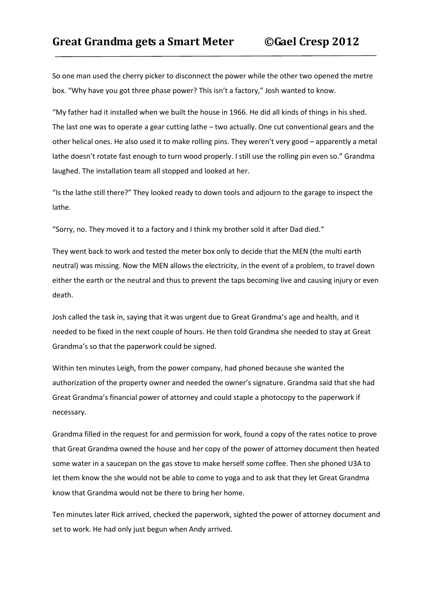So one man used the cherry picker to disconnect the power while the other two opened the metre box. "Why have you got three phase power? This isn't a factory," Josh wanted to know.

"My father had it installed when we built the house in 1966. He did all kinds of things in his shed. The last one was to operate a gear cutting lathe – two actually. One cut conventional gears and the other helical ones. He also used it to make rolling pins. They weren't very good – apparently a metal lathe doesn't rotate fast enough to turn wood properly. I still use the rolling pin even so." Grandma laughed. The installation team all stopped and looked at her.

"Is the lathe still there?" They looked ready to down tools and adjourn to the garage to inspect the lathe.

"Sorry, no. They moved it to a factory and I think my brother sold it after Dad died."

They went back to work and tested the meter box only to decide that the MEN (the multi earth neutral) was missing. Now the MEN allows the electricity, in the event of a problem, to travel down either the earth or the neutral and thus to prevent the taps becoming live and causing injury or even death.

Josh called the task in, saying that it was urgent due to Great Grandma's age and health, and it needed to be fixed in the next couple of hours. He then told Grandma she needed to stay at Great Grandma's so that the paperwork could be signed.

Within ten minutes Leigh, from the power company, had phoned because she wanted the authorization of the property owner and needed the owner's signature. Grandma said that she had Great Grandma's financial power of attorney and could staple a photocopy to the paperwork if necessary.

Grandma filled in the request for and permission for work, found a copy of the rates notice to prove that Great Grandma owned the house and her copy of the power of attorney document then heated some water in a saucepan on the gas stove to make herself some coffee. Then she phoned U3A to let them know the she would not be able to come to yoga and to ask that they let Great Grandma know that Grandma would not be there to bring her home.

Ten minutes later Rick arrived, checked the paperwork, sighted the power of attorney document and set to work. He had only just begun when Andy arrived.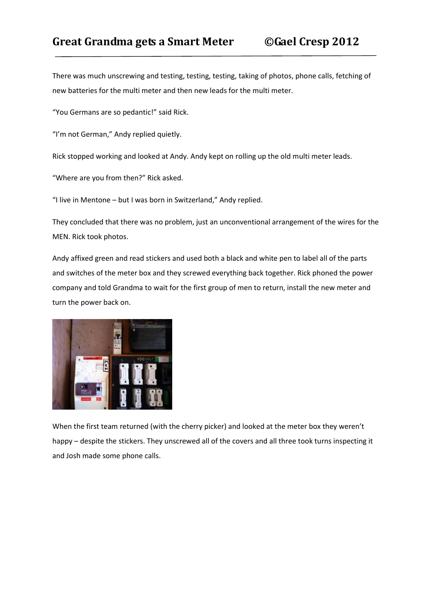## **Great Grandma gets a Smart Meter ©Gael Cresp 2012**

There was much unscrewing and testing, testing, testing, taking of photos, phone calls, fetching of new batteries for the multi meter and then new leads for the multi meter.

"You Germans are so pedantic!" said Rick.

"I'm not German," Andy replied quietly.

Rick stopped working and looked at Andy. Andy kept on rolling up the old multi meter leads.

"Where are you from then?" Rick asked.

"I live in Mentone – but I was born in Switzerland," Andy replied.

They concluded that there was no problem, just an unconventional arrangement of the wires for the MEN. Rick took photos.

Andy affixed green and read stickers and used both a black and white pen to label all of the parts and switches of the meter box and they screwed everything back together. Rick phoned the power company and told Grandma to wait for the first group of men to return, install the new meter and turn the power back on.



When the first team returned (with the cherry picker) and looked at the meter box they weren't happy – despite the stickers. They unscrewed all of the covers and all three took turns inspecting it and Josh made some phone calls.